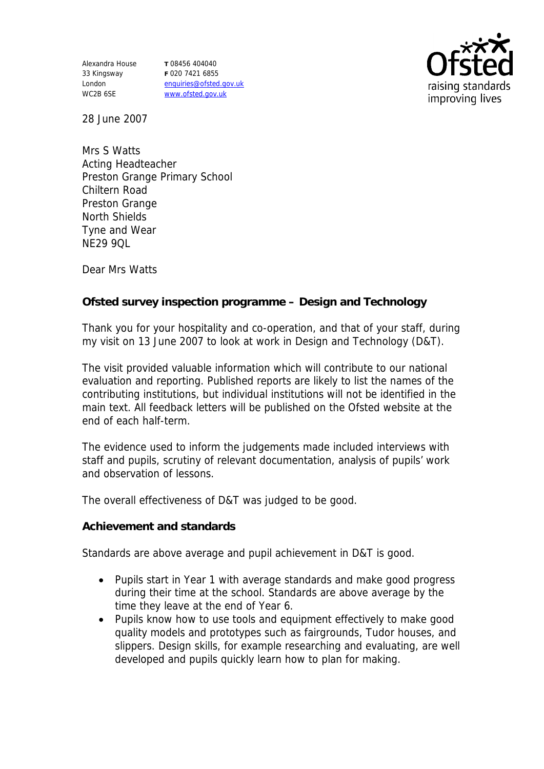Alexandra House 33 Kingsway London WC2B 6SE

**T** 08456 404040 **F** 020 7421 6855 enquiries@ofsted.gov.uk www.ofsted.gov.uk



28 June 2007

Mrs S Watts Acting Headteacher Preston Grange Primary School Chiltern Road Preston Grange North Shields Tyne and Wear NE29 9QL

Dear Mrs Watts

**Ofsted survey inspection programme – Design and Technology**

Thank you for your hospitality and co-operation, and that of your staff, during my visit on 13 June 2007 to look at work in Design and Technology (D&T).

The visit provided valuable information which will contribute to our national evaluation and reporting. Published reports are likely to list the names of the contributing institutions, but individual institutions will not be identified in the main text. All feedback letters will be published on the Ofsted website at the end of each half-term.

The evidence used to inform the judgements made included interviews with staff and pupils, scrutiny of relevant documentation, analysis of pupils' work and observation of lessons.

The overall effectiveness of D&T was judged to be good.

**Achievement and standards**

Standards are above average and pupil achievement in D&T is good.

- Pupils start in Year 1 with average standards and make good progress during their time at the school. Standards are above average by the time they leave at the end of Year 6.
- Pupils know how to use tools and equipment effectively to make good quality models and prototypes such as fairgrounds, Tudor houses, and slippers. Design skills, for example researching and evaluating, are well developed and pupils quickly learn how to plan for making.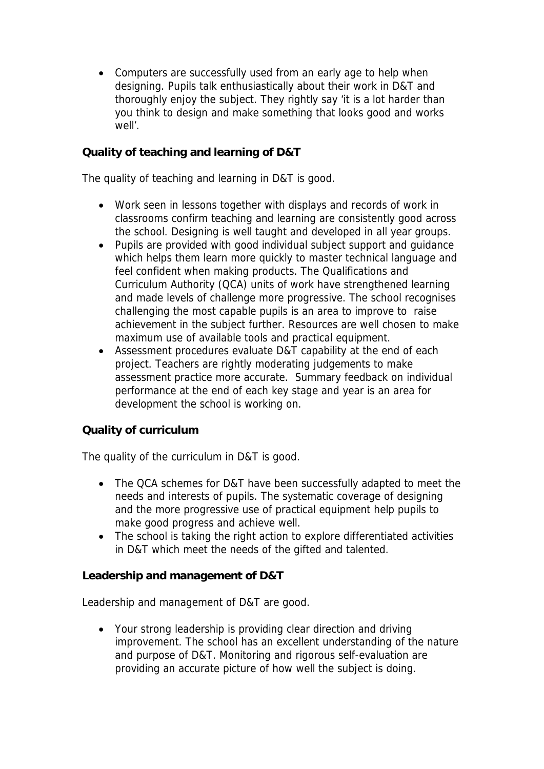• Computers are successfully used from an early age to help when designing. Pupils talk enthusiastically about their work in D&T and thoroughly enjoy the subject. They rightly say 'it is a lot harder than you think to design and make something that looks good and works well'.

## **Quality of teaching and learning of D&T**

The quality of teaching and learning in D&T is good.

- Work seen in lessons together with displays and records of work in classrooms confirm teaching and learning are consistently good across the school. Designing is well taught and developed in all year groups.
- Pupils are provided with good individual subject support and guidance which helps them learn more quickly to master technical language and feel confident when making products. The Qualifications and Curriculum Authority (QCA) units of work have strengthened learning and made levels of challenge more progressive. The school recognises challenging the most capable pupils is an area to improve to raise achievement in the subject further. Resources are well chosen to make maximum use of available tools and practical equipment.
- Assessment procedures evaluate D&T capability at the end of each project. Teachers are rightly moderating judgements to make assessment practice more accurate. Summary feedback on individual performance at the end of each key stage and year is an area for development the school is working on.

## **Quality of curriculum**

The quality of the curriculum in D&T is good.

- The QCA schemes for D&T have been successfully adapted to meet the needs and interests of pupils. The systematic coverage of designing and the more progressive use of practical equipment help pupils to make good progress and achieve well.
- The school is taking the right action to explore differentiated activities in D&T which meet the needs of the gifted and talented.

**Leadership and management of D&T**

Leadership and management of D&T are good.

 Your strong leadership is providing clear direction and driving improvement. The school has an excellent understanding of the nature and purpose of D&T. Monitoring and rigorous self-evaluation are providing an accurate picture of how well the subject is doing.